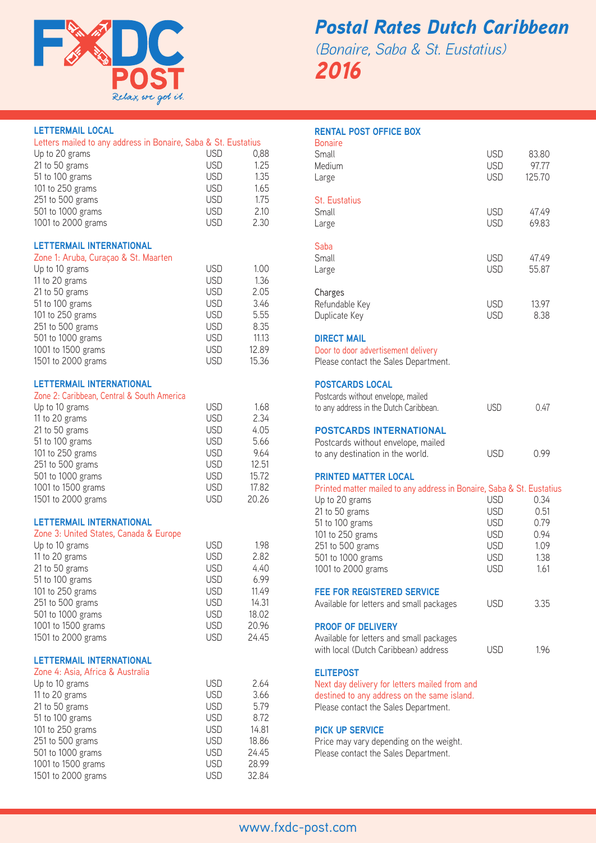

# *Postal Rates Dutch Caribbean (Bonaire, Saba & St. Eustatius)*

*2016*

| <b>LETTERMAIL LOCAL</b>                                        |            |       |
|----------------------------------------------------------------|------------|-------|
| Letters mailed to any address in Bonaire, Saba & St. Eustatius |            |       |
| Up to 20 grams                                                 | <b>USD</b> | 0,88  |
| 21 to 50 grams                                                 | <b>USD</b> | 1.25  |
| 51 to 100 grams                                                | <b>USD</b> | 1.35  |
| 101 to 250 grams                                               | <b>USD</b> | 1.65  |
| 251 to 500 grams                                               | <b>USD</b> | 1.75  |
| 501 to 1000 grams                                              | <b>USD</b> | 2.10  |
| 1001 to 2000 grams                                             | <b>USD</b> | 2.30  |
|                                                                |            |       |
| LETTERMAIL INTERNATIONAL                                       |            |       |
| Zone 1: Aruba, Curaçao & St. Maarten                           |            |       |
| Up to 10 grams                                                 | <b>USD</b> | 1.00  |
| 11 to 20 grams                                                 | <b>USD</b> | 1.36  |
| 21 to 50 grams                                                 | <b>USD</b> | 2.05  |
| 51 to 100 grams                                                | <b>USD</b> | 3.46  |
| 101 to 250 grams                                               | <b>USD</b> | 5.55  |
| 251 to 500 grams                                               | <b>USD</b> | 8.35  |
| 501 to 1000 grams                                              | <b>USD</b> | 11.13 |
| 1001 to 1500 grams                                             | <b>USD</b> | 12.89 |
|                                                                |            | 15.36 |
| 1501 to 2000 grams                                             | <b>USD</b> |       |
| LETTERMAIL INTERNATIONAL                                       |            |       |
| Zone 2: Caribbean, Central & South America                     |            |       |
| Up to 10 grams                                                 | <b>USD</b> | 1.68  |
| 11 to 20 grams                                                 | <b>USD</b> | 2.34  |
| 21 to 50 grams                                                 | <b>USD</b> | 4.05  |
| 51 to 100 grams                                                | <b>USD</b> | 5.66  |
| 101 to 250 grams                                               | <b>USD</b> | 9.64  |
| 251 to 500 grams                                               | <b>USD</b> | 12.51 |
| 501 to 1000 grams                                              | <b>USD</b> | 15.72 |
| 1001 to 1500 grams                                             | <b>USD</b> | 17.82 |
| 1501 to 2000 grams                                             | <b>USD</b> | 20.26 |
|                                                                |            |       |
| LETTERMAIL INTERNATIONAL                                       |            |       |
| Zone 3: United States, Canada & Europe                         |            |       |
| Up to 10 grams                                                 | <b>USD</b> | 1.98  |
| 11 to 20 grams                                                 | <b>USD</b> | 2.82  |
| 21 to 50 grams                                                 | <b>USD</b> | 4.40  |
| 51 to 100 grams                                                | <b>USD</b> | 6.99  |
| 101 to 250 grams                                               | <b>USD</b> | 11.49 |
| 251 to 500 grams                                               | <b>USD</b> | 14.31 |
| 501 to 1000 grams                                              | <b>USD</b> | 18.02 |
| 1001 to 1500 grams                                             | <b>USD</b> | 20.96 |
| 1501 to 2000 grams                                             | <b>USD</b> | 24.45 |
|                                                                |            |       |
| <b>LETTERMAIL INTERNATIONAL</b>                                |            |       |
| Zone 4: Asia, Africa & Australia                               |            |       |
| Up to 10 grams                                                 | <b>USD</b> | 2.64  |
| 11 to 20 grams                                                 | <b>USD</b> | 3.66  |
| 21 to 50 grams                                                 | <b>USD</b> | 5.79  |
| 51 to 100 grams                                                | <b>USD</b> | 8.72  |
| 101 to 250 grams                                               | <b>USD</b> | 14.81 |
| 251 to 500 grams                                               | <b>USD</b> | 18.86 |
| 501 to 1000 grams                                              | <b>USD</b> | 24.45 |
| 1001 to 1500 grams                                             | <b>USD</b> | 28.99 |
| 1501 to 2000 grams                                             | <b>USD</b> | 32.84 |
|                                                                |            |       |

### **RENTAL POST OFFICE BOX**

| <b>Bonaire</b>                                                        |            |        |
|-----------------------------------------------------------------------|------------|--------|
| Small                                                                 | <b>USD</b> | 83.80  |
| Medium                                                                | <b>USD</b> | 97.77  |
| Large                                                                 | <b>USD</b> | 125.70 |
| <b>St. Eustatius</b>                                                  |            |        |
| Small                                                                 | <b>USD</b> | 47.49  |
| Large                                                                 | <b>USD</b> | 69.83  |
| Saba                                                                  |            |        |
| Small                                                                 | <b>USD</b> | 47.49  |
| Large                                                                 | <b>USD</b> | 55.87  |
| Charges                                                               |            |        |
| Refundable Key                                                        | <b>USD</b> | 13.97  |
| Duplicate Key                                                         | <b>USD</b> | 8.38   |
| <b>DIRECT MAIL</b>                                                    |            |        |
| Door to door advertisement delivery                                   |            |        |
| Please contact the Sales Department.                                  |            |        |
| <b>POSTCARDS LOCAL</b>                                                |            |        |
| Postcards without envelope, mailed                                    |            |        |
| to any address in the Dutch Caribbean.                                | <b>USD</b> | 0.47   |
| <b>POSTCARDS INTERNATIONAL</b>                                        |            |        |
| Postcards without envelope, mailed                                    |            |        |
| to any destination in the world.                                      | <b>USD</b> | 0.99   |
| <b>PRINTED MATTER LOCAL</b>                                           |            |        |
| Printed matter mailed to any address in Bonaire, Saba & St. Eustatius |            |        |
| Up to 20 grams                                                        | <b>USD</b> | 0.34   |
| 21 to 50 grams                                                        | <b>USD</b> | 0.51   |
| 51 to 100 grams                                                       | <b>USD</b> | 0.79   |
| 101 to 250 grams                                                      | <b>USD</b> | 0.94   |
| 251 to 500 grams                                                      | <b>USD</b> | 1.09   |
| 501 to 1000 grams                                                     | <b>USD</b> | 1.38   |
| 1001 to 2000 grams                                                    | <b>USD</b> | 1.61   |
| <b>FEE FOR REGISTERED SERVICE</b>                                     |            |        |
| Available for letters and small packages                              | <b>USD</b> | 3.35   |
| <b>PROOF OF DELIVERY</b>                                              |            |        |
| Available for letters and small packages                              |            |        |
| with local (Dutch Caribbean) address                                  | <b>USD</b> | 1.96   |
| <b>ELITEPOST</b>                                                      |            |        |
| Next day delivery for letters mailed from and                         |            |        |
| destined to any address on the same island.                           |            |        |

Please contact the Sales Department.

## **PICK UP SERVICE**

Price may vary depending on the weight. Please contact the Sales Department.